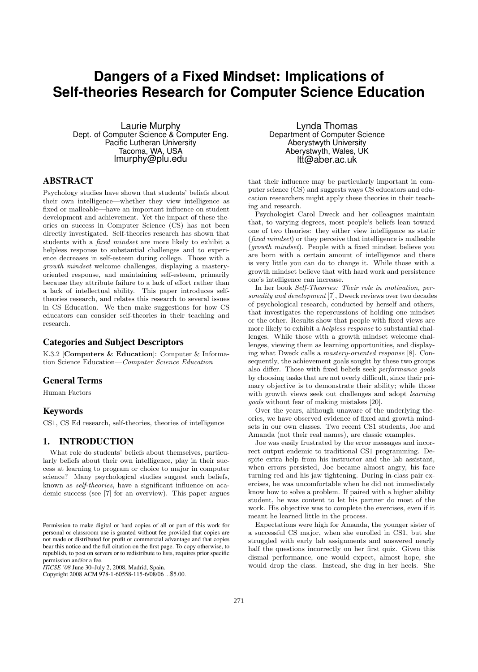# **Dangers of a Fixed Mindset: Implications of Self-theories Research for Computer Science Education**

Laurie Murphy Dept. of Computer Science & Computer Eng. Pacific Lutheran University Tacoma, WA, USA lmurphy@plu.edu

# ABSTRACT

Psychology studies have shown that students' beliefs about their own intelligence—whether they view intelligence as fixed or malleable—have an important influence on student development and achievement. Yet the impact of these theories on success in Computer Science (CS) has not been directly investigated. Self-theories research has shown that students with a fixed mindset are more likely to exhibit a helpless response to substantial challenges and to experience decreases in self-esteem during college. Those with a growth mindset welcome challenges, displaying a masteryoriented response, and maintaining self-esteem, primarily because they attribute failure to a lack of effort rather than a lack of intellectual ability. This paper introduces selftheories research, and relates this research to several issues in CS Education. We then make suggestions for how CS educators can consider self-theories in their teaching and research.

# Categories and Subject Descriptors

K.3.2 [Computers & Education]: Computer & Information Science Education—Computer Science Education

# General Terms

Human Factors

#### Keywords

CS1, CS Ed research, self-theories, theories of intelligence

# 1. INTRODUCTION

What role do students' beliefs about themselves, particularly beliefs about their own intelligence, play in their success at learning to program or choice to major in computer science? Many psychological studies suggest such beliefs, known as self-theories, have a significant influence on academic success (see [7] for an overview). This paper argues

Copyright 2008 ACM 978-1-60558-115-6/08/06 ...\$5.00.

Lynda Thomas Department of Computer Science Aberystwyth University Aberystwyth, Wales, UK ltt@aber.ac.uk

that their influence may be particularly important in computer science (CS) and suggests ways CS educators and education researchers might apply these theories in their teaching and research.

Psychologist Carol Dweck and her colleagues maintain that, to varying degrees, most people's beliefs lean toward one of two theories: they either view intelligence as static (fixed mindset) or they perceive that intelligence is malleable (growth mindset). People with a fixed mindset believe you are born with a certain amount of intelligence and there is very little you can do to change it. While those with a growth mindset believe that with hard work and persistence one's intelligence can increase.

In her book Self-Theories: Their role in motivation, personality and development [7], Dweck reviews over two decades of psychological research, conducted by herself and others, that investigates the repercussions of holding one mindset or the other. Results show that people with fixed views are more likely to exhibit a helpless response to substantial challenges. While those with a growth mindset welcome challenges, viewing them as learning opportunities, and displaying what Dweck calls a mastery-oriented response [8]. Consequently, the achievement goals sought by these two groups also differ. Those with fixed beliefs seek performance goals by choosing tasks that are not overly difficult, since their primary objective is to demonstrate their ability; while those with growth views seek out challenges and adopt learning goals without fear of making mistakes [20].

Over the years, although unaware of the underlying theories, we have observed evidence of fixed and growth mindsets in our own classes. Two recent CS1 students, Joe and Amanda (not their real names), are classic examples.

Joe was easily frustrated by the error messages and incorrect output endemic to traditional CS1 programming. Despite extra help from his instructor and the lab assistant, when errors persisted, Joe became almost angry, his face turning red and his jaw tightening. During in-class pair exercises, he was uncomfortable when he did not immediately know how to solve a problem. If paired with a higher ability student, he was content to let his partner do most of the work. His objective was to complete the exercises, even if it meant he learned little in the process.

Expectations were high for Amanda, the younger sister of a successful CS major, when she enrolled in CS1, but she struggled with early lab assignments and answered nearly half the questions incorrectly on her first quiz. Given this dismal performance, one would expect, almost hope, she would drop the class. Instead, she dug in her heels. She

Permission to make digital or hard copies of all or part of this work for personal or classroom use is granted without fee provided that copies are not made or distributed for profit or commercial advantage and that copies bear this notice and the full citation on the first page. To copy otherwise, to republish, to post on servers or to redistribute to lists, requires prior specific permission and/or a fee.

*ITiCSE '08* June 30–July 2, 2008, Madrid, Spain.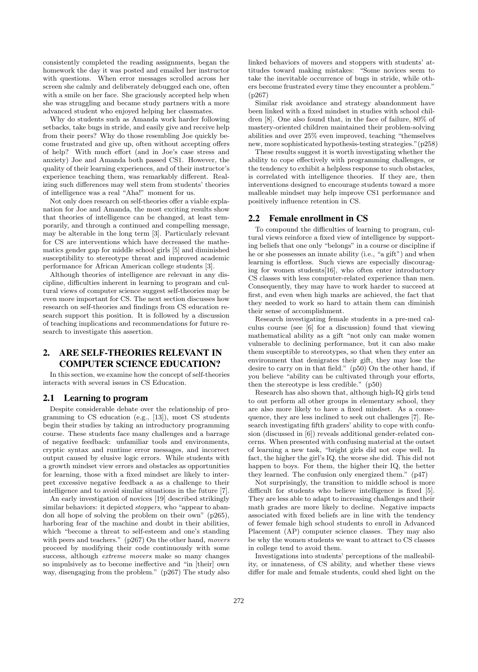consistently completed the reading assignments, began the homework the day it was posted and emailed her instructor with questions. When error messages scrolled across her screen she calmly and deliberately debugged each one, often with a smile on her face. She graciously accepted help when she was struggling and became study partners with a more advanced student who enjoyed helping her classmates.

Why do students such as Amanda work harder following setbacks, take bugs in stride, and easily give and receive help from their peers? Why do those resembling Joe quickly become frustrated and give up, often without accepting offers of help? With much effort (and in Joe's case stress and anxiety) Joe and Amanda both passed CS1. However, the quality of their learning experiences, and of their instructor's experience teaching them, was remarkably different. Realizing such differences may well stem from students' theories of intelligence was a real "Aha!" moment for us.

Not only does research on self-theories offer a viable explanation for Joe and Amanda, the most exciting results show that theories of intelligence can be changed, at least temporarily, and through a continued and compelling message, may be alterable in the long term [3]. Particularly relevant for CS are interventions which have decreased the mathematics gender gap for middle school girls [5] and diminished susceptibility to stereotype threat and improved academic performance for African American college students [3].

Although theories of intelligence are relevant in any discipline, difficulties inherent in learning to program and cultural views of computer science suggest self-theories may be even more important for CS. The next section discusses how research on self-theories and findings from CS education research support this position. It is followed by a discussion of teaching implications and recommendations for future research to investigate this assertion.

# 2. ARE SELF-THEORIES RELEVANT IN COMPUTER SCIENCE EDUCATION?

In this section, we examine how the concept of self-theories interacts with several issues in CS Education.

## 2.1 Learning to program

Despite considerable debate over the relationship of programming to CS education (e.g., [13]), most CS students begin their studies by taking an introductory programming course. These students face many challenges and a barrage of negative feedback: unfamiliar tools and environments, cryptic syntax and runtime error messages, and incorrect output caused by elusive logic errors. While students with a growth mindset view errors and obstacles as opportunities for learning, those with a fixed mindset are likely to interpret excessive negative feedback a as a challenge to their intelligence and to avoid similar situations in the future [7].

An early investigation of novices [19] described strikingly similar behaviors: it depicted *stoppers*, who "appear to abandon all hope of solving the problem on their own" (p265), harboring fear of the machine and doubt in their abilities, which "become a threat to self-esteem and one's standing with peers and teachers." (p267) On the other hand, movers proceed by modifying their code continuously with some success, although *extreme movers* make so many changes so impulsively as to become ineffective and "in [their] own way, disengaging from the problem." (p267) The study also

linked behaviors of movers and stoppers with students' attitudes toward making mistakes: "Some novices seem to take the inevitable occurrence of bugs in stride, while others become frustrated every time they encounter a problem." (p267)

Similar risk avoidance and strategy abandonment have been linked with a fixed mindset in studies with school children [8]. One also found that, in the face of failure, 80% of mastery-oriented children maintained their problem-solving abilities and over 25% even improved, teaching "themselves new, more sophisticated hypothesis-testing strategies."(p258)

These results suggest it is worth investigating whether the ability to cope effectively with programming challenges, or the tendency to exhibit a helpless response to such obstacles, is correlated with intelligence theories. If they are, then interventions designed to encourage students toward a more malleable mindset may help improve CS1 performance and positively influence retention in CS.

#### 2.2 Female enrollment in CS

To compound the difficulties of learning to program, cultural views reinforce a fixed view of intelligence by supporting beliefs that one only "belongs" in a course or discipline if he or she possesses an innate ability (i.e., "a gift") and when learning is effortless. Such views are especially discouraging for women students[16], who often enter introductory CS classes with less computer-related experience than men. Consequently, they may have to work harder to succeed at first, and even when high marks are achieved, the fact that they needed to work so hard to attain them can diminish their sense of accomplishment.

Research investigating female students in a pre-med calculus course (see [6] for a discussion) found that viewing mathematical ability as a gift "not only can make women vulnerable to declining performance, but it can also make them susceptible to stereotypes, so that when they enter an environment that denigrates their gift, they may lose the desire to carry on in that field." (p50) On the other hand, if you believe "ability can be cultivated through your efforts, then the stereotype is less credible." (p50)

Research has also shown that, although high-IQ girls tend to out perform all other groups in elementary school, they are also more likely to have a fixed mindset. As a consequence, they are less inclined to seek out challenges [7]. Research investigating fifth graders' ability to cope with confusion (discussed in [6]) reveals additional gender-related concerns. When presented with confusing material at the outset of learning a new task, "bright girls did not cope well. In fact, the higher the girl's IQ, the worse she did. This did not happen to boys. For them, the higher their IQ, the better they learned. The confusion only energized them." (p47)

Not surprisingly, the transition to middle school is more difficult for students who believe intelligence is fixed [5]. They are less able to adapt to increasing challenges and their math grades are more likely to decline. Negative impacts associated with fixed beliefs are in line with the tendency of fewer female high school students to enroll in Advanced Placement (AP) computer science classes. They may also be why the women students we want to attract to CS classes in college tend to avoid them.

Investigations into students' perceptions of the malleability, or innateness, of CS ability, and whether these views differ for male and female students, could shed light on the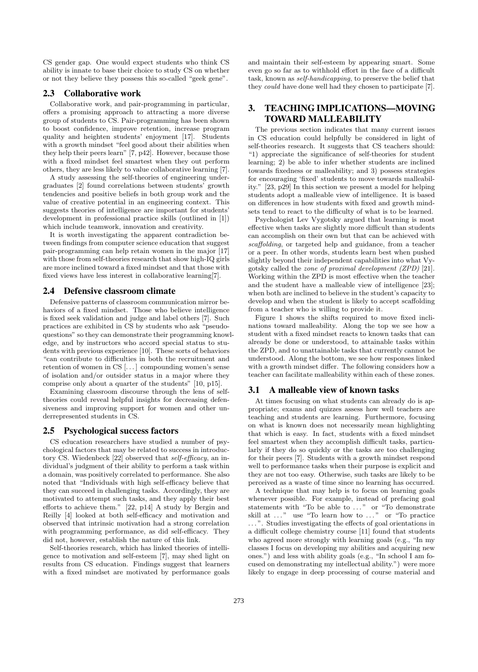CS gender gap. One would expect students who think CS ability is innate to base their choice to study CS on whether or not they believe they possess this so-called "geek gene".

## 2.3 Collaborative work

Collaborative work, and pair-programming in particular, offers a promising approach to attracting a more diverse group of students to CS. Pair-programming has been shown to boost confidence, improve retention, increase program quality and heighten students' enjoyment [17]. Students with a growth mindset "feel good about their abilities when they help their peers learn" [7, p42]. However, because those with a fixed mindset feel smartest when they out perform others, they are less likely to value collaborative learning [7].

A study assessing the self-theories of engineering undergraduates [2] found correlations between students' growth tendencies and positive beliefs in both group work and the value of creative potential in an engineering context. This suggests theories of intelligence are important for students' development in professional practice skills (outlined in [1]) which include teamwork, innovation and creativity.

It is worth investigating the apparent contradiction between findings from computer science education that suggest pair-programming can help retain women in the major [17] with those from self-theories research that show high-IQ girls are more inclined toward a fixed mindset and that those with fixed views have less interest in collaborative learning[7].

#### 2.4 Defensive classroom climate

Defensive patterns of classroom communication mirror behaviors of a fixed mindset. Those who believe intelligence is fixed seek validation and judge and label others [7]. Such practices are exhibited in CS by students who ask "pseudoquestions" so they can demonstrate their programming knowledge, and by instructors who accord special status to students with previous experience [10]. These sorts of behaviors "can contribute to difficulties in both the recruitment and retention of women in CS [. . . ] compounding women's sense of isolation and/or outsider status in a major where they comprise only about a quarter of the students" [10, p15].

Examining classroom discourse through the lens of selftheories could reveal helpful insights for decreasing defensiveness and improving support for women and other underrepresented students in CS.

#### 2.5 Psychological success factors

CS education researchers have studied a number of psychological factors that may be related to success in introductory CS. Wiedenbeck [22] observed that self-efficacy, an individual's judgment of their ability to perform a task within a domain, was positively correlated to performance. She also noted that "Individuals with high self-efficacy believe that they can succeed in challenging tasks. Accordingly, they are motivated to attempt such tasks, and they apply their best efforts to achieve them." [22, p14] A study by Bergin and Reilly [4] looked at both self-efficacy and motivation and observed that intrinsic motivation had a strong correlation with programming performance, as did self-efficacy. They did not, however, establish the nature of this link.

Self-theories research, which has linked theories of intelligence to motivation and self-esteem [7], may shed light on results from CS education. Findings suggest that learners with a fixed mindset are motivated by performance goals and maintain their self-esteem by appearing smart. Some even go so far as to withhold effort in the face of a difficult task, known as self-handicapping, to preserve the belief that they could have done well had they chosen to participate [7].

# 3. TEACHING IMPLICATIONS—MOVING TOWARD MALLEABILITY

The previous section indicates that many current issues in CS education could helpfully be considered in light of self-theories research. It suggests that CS teachers should: "1) appreciate the significance of self-theories for student learning; 2) be able to infer whether students are inclined towards fixedness or malleability; and 3) possess strategies for encouraging 'fixed' students to move towards malleability." [23, p29] In this section we present a model for helping students adopt a malleable view of intelligence. It is based on differences in how students with fixed and growth mindsets tend to react to the difficulty of what is to be learned.

Psychologist Lev Vygotsky argued that learning is most effective when tasks are slightly more difficult than students can accomplish on their own but that can be achieved with scaffolding, or targeted help and guidance, from a teacher or a peer. In other words, students learn best when pushed slightly beyond their independent capabilities into what Vygotsky called the zone of proximal development (ZPD) [21]. Working within the ZPD is most effective when the teacher and the student have a malleable view of intelligence [23]; when both are inclined to believe in the student's capacity to develop and when the student is likely to accept scaffolding from a teacher who is willing to provide it.

Figure 1 shows the shifts required to move fixed inclinations toward malleability. Along the top we see how a student with a fixed mindset reacts to known tasks that can already be done or understood, to attainable tasks within the ZPD, and to unattainable tasks that currently cannot be understood. Along the bottom, we see how responses linked with a growth mindset differ. The following considers how a teacher can facilitate malleability within each of these zones.

## 3.1 A malleable view of known tasks

At times focusing on what students can already do is appropriate; exams and quizzes assess how well teachers are teaching and students are learning. Furthermore, focusing on what is known does not necessarily mean highlighting that which is easy. In fact, students with a fixed mindset feel smartest when they accomplish difficult tasks, particularly if they do so quickly or the tasks are too challenging for their peers [7]. Students with a growth mindset respond well to performance tasks when their purpose is explicit and they are not too easy. Otherwise, such tasks are likely to be perceived as a waste of time since no learning has occurred.

A technique that may help is to focus on learning goals whenever possible. For example, instead of prefacing goal statements with "To be able to  $\ldots$ " or "To demonstrate skill at  $\dots$ " use "To learn how to  $\dots$ " or "To practice ...". Studies investigating the effects of goal orientations in a difficult college chemistry course [11] found that students who agreed more strongly with learning goals (e.g., "In my classes I focus on developing my abilities and acquiring new ones.") and less with ability goals (e.g., "In school I am focused on demonstrating my intellectual ability.") were more likely to engage in deep processing of course material and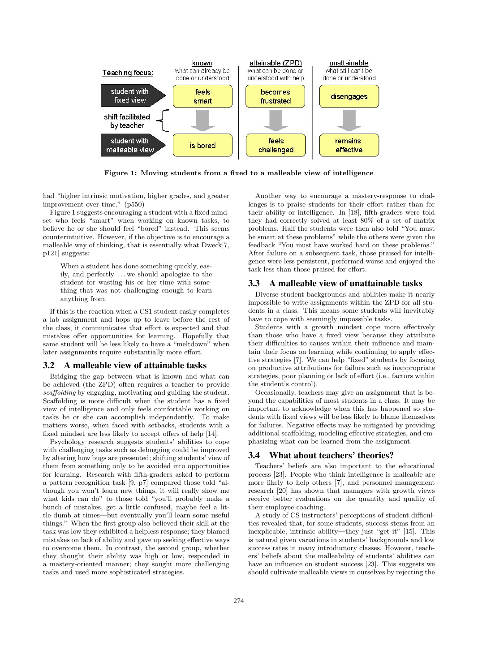

Figure 1: Moving students from a fixed to a malleable view of intelligence

had "higher intrinsic motivation, higher grades, and greater improvement over time." (p550)

Figure 1 suggests encouraging a student with a fixed mindset who feels "smart" when working on known tasks, to believe he or she should feel "bored" instead. This seems counterintuitive. However, if the objective is to encourage a malleable way of thinking, that is essentially what Dweck[7, p121] suggests:

When a student has done something quickly, easily, and perfectly . . . we should apologize to the student for wasting his or her time with something that was not challenging enough to learn anything from.

If this is the reaction when a CS1 student easily completes a lab assignment and hops up to leave before the rest of the class, it communicates that effort is expected and that mistakes offer opportunities for learning. Hopefully that same student will be less likely to have a "meltdown" when later assignments require substantially more effort.

#### 3.2 A malleable view of attainable tasks

Bridging the gap between what is known and what can be achieved (the ZPD) often requires a teacher to provide scaffolding by engaging, motivating and guiding the student. Scaffolding is more difficult when the student has a fixed view of intelligence and only feels comfortable working on tasks he or she can accomplish independently. To make matters worse, when faced with setbacks, students with a fixed mindset are less likely to accept offers of help [14].

Psychology research suggests students' abilities to cope with challenging tasks such as debugging could be improved by altering how bugs are presented; shifting students' view of them from something only to be avoided into opportunities for learning. Research with fifth-graders asked to perform a pattern recognition task [9, p7] compared those told "although you won't learn new things, it will really show me what kids can do" to those told "you'll probably make a bunch of mistakes, get a little confused, maybe feel a little dumb at times—but eventually you'll learn some useful things." When the first group also believed their skill at the task was low they exhibited a helpless response; they blamed mistakes on lack of ability and gave up seeking effective ways to overcome them. In contrast, the second group, whether they thought their ability was high or low, responded in a mastery-oriented manner; they sought more challenging tasks and used more sophisticated strategies.

Another way to encourage a mastery-response to challenges is to praise students for their effort rather than for their ability or intelligence. In [18], fifth-graders were told they had correctly solved at least 80% of a set of matrix problems. Half the students were then also told "You must be smart at these problems" while the others were given the feedback "You must have worked hard on these problems." After failure on a subsequent task, those praised for intelligence were less persistent, performed worse and enjoyed the task less than those praised for effort.

#### 3.3 A malleable view of unattainable tasks

Diverse student backgrounds and abilities make it nearly impossible to write assignments within the ZPD for all students in a class. This means some students will inevitably have to cope with seemingly impossible tasks.

Students with a growth mindset cope more effectively than those who have a fixed view because they attribute their difficulties to causes within their influence and maintain their focus on learning while continuing to apply effective strategies [7]. We can help "fixed" students by focusing on productive attributions for failure such as inappropriate strategies, poor planning or lack of effort (i.e., factors within the student's control).

Occasionally, teachers may give an assignment that is beyond the capabilities of most students in a class. It may be important to acknowledge when this has happened so students with fixed views will be less likely to blame themselves for failures. Negative effects may be mitigated by providing additional scaffolding, modeling effective strategies, and emphasizing what can be learned from the assignment.

# 3.4 What about teachers' theories?

Teachers' beliefs are also important to the educational process [23]. People who think intelligence is malleable are more likely to help others [7], and personnel management research [20] has shown that managers with growth views receive better evaluations on the quantity and quality of their employee coaching.

A study of CS instructors' perceptions of student difficulties revealed that, for some students, success stems from an inexplicable, intrinsic ability—they just "get it" [15]. This is natural given variations in students' backgrounds and low success rates in many introductory classes. However, teachers' beliefs about the malleability of students' abilities can have an influence on student success [23]. This suggests we should cultivate malleable views in ourselves by rejecting the